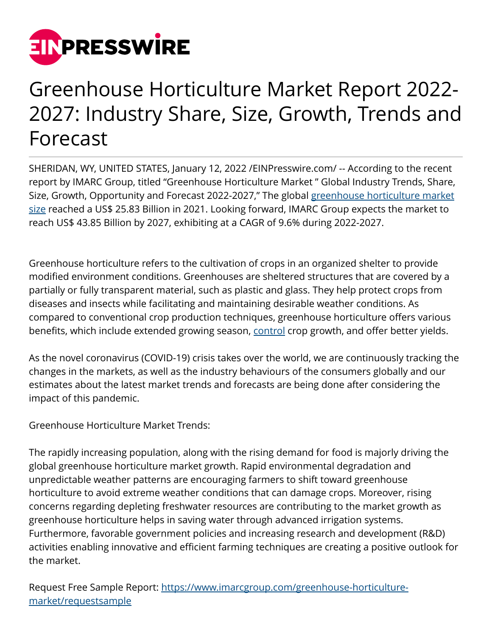

## Greenhouse Horticulture Market Report 2022- 2027: Industry Share, Size, Growth, Trends and Forecast

SHERIDAN, WY, UNITED STATES, January 12, 2022 [/EINPresswire.com/](http://www.einpresswire.com) -- According to the recent report by IMARC Group, titled "Greenhouse Horticulture Market " Global Industry Trends, Share, Size, Growth, Opportunity and Forecast 2022-2027," The global [greenhouse horticulture market](https://bit.ly/3K3FCcn) [size](https://bit.ly/3K3FCcn) reached a US\$ 25.83 Billion in 2021. Looking forward, IMARC Group expects the market to reach US\$ 43.85 Billion by 2027, exhibiting at a CAGR of 9.6% during 2022-2027.

Greenhouse horticulture refers to the cultivation of crops in an organized shelter to provide modified environment conditions. Greenhouses are sheltered structures that are covered by a partially or fully transparent material, such as plastic and glass. They help protect crops from diseases and insects while facilitating and maintaining desirable weather conditions. As compared to conventional crop production techniques, greenhouse horticulture offers various benefits, which include extended growing season, [control](https://bit.ly/3FlwI6L) crop growth, and offer better yields.

As the novel coronavirus (COVID-19) crisis takes over the world, we are continuously tracking the changes in the markets, as well as the industry behaviours of the consumers globally and our estimates about the latest market trends and forecasts are being done after considering the impact of this pandemic.

Greenhouse Horticulture Market Trends:

The rapidly increasing population, along with the rising demand for food is majorly driving the global greenhouse horticulture market growth. Rapid environmental degradation and unpredictable weather patterns are encouraging farmers to shift toward greenhouse horticulture to avoid extreme weather conditions that can damage crops. Moreover, rising concerns regarding depleting freshwater resources are contributing to the market growth as greenhouse horticulture helps in saving water through advanced irrigation systems. Furthermore, favorable government policies and increasing research and development (R&D) activities enabling innovative and efficient farming techniques are creating a positive outlook for the market.

Request Free Sample Report: [https://www.imarcgroup.com/greenhouse-horticulture](https://www.imarcgroup.com/greenhouse-horticulture-market/requestsample)[market/requestsample](https://www.imarcgroup.com/greenhouse-horticulture-market/requestsample)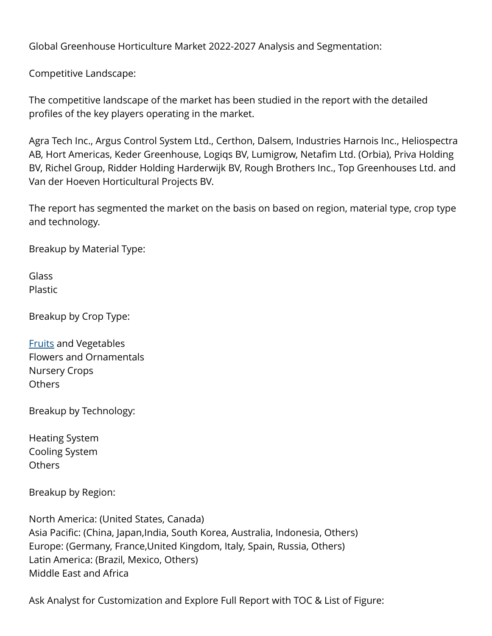Global Greenhouse Horticulture Market 2022-2027 Analysis and Segmentation:

Competitive Landscape:

The competitive landscape of the market has been studied in the report with the detailed profiles of the key players operating in the market.

Agra Tech Inc., Argus Control System Ltd., Certhon, Dalsem, Industries Harnois Inc., Heliospectra AB, Hort Americas, Keder Greenhouse, Logiqs BV, Lumigrow, Netafim Ltd. (Orbia), Priva Holding BV, Richel Group, Ridder Holding Harderwijk BV, Rough Brothers Inc., Top Greenhouses Ltd. and Van der Hoeven Horticultural Projects BV.

The report has segmented the market on the basis on based on region, material type, crop type and technology.

Breakup by Material Type:

Glass Plastic

Breakup by Crop Type:

[Fruits](https://bit.ly/3rdRIXS) and Vegetables Flowers and Ornamentals Nursery Crops Others

Breakup by Technology:

Heating System Cooling System **Others** 

Breakup by Region:

North America: (United States, Canada) Asia Pacific: (China, Japan,India, South Korea, Australia, Indonesia, Others) Europe: (Germany, France,United Kingdom, Italy, Spain, Russia, Others) Latin America: (Brazil, Mexico, Others) Middle East and Africa

Ask Analyst for Customization and Explore Full Report with TOC & List of Figure: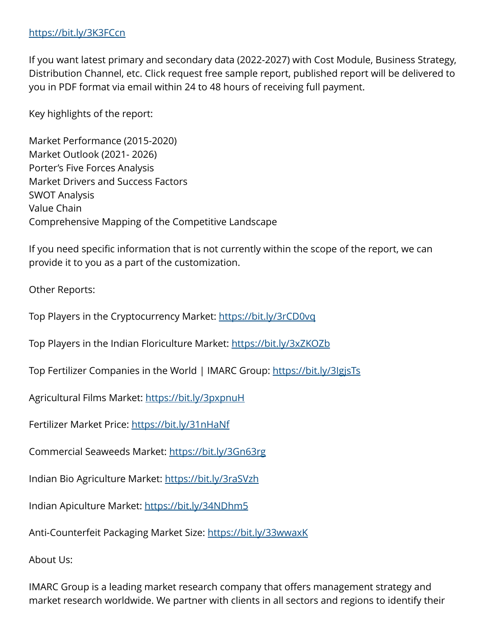## <https://bit.ly/3K3FCcn>

If you want latest primary and secondary data (2022-2027) with Cost Module, Business Strategy, Distribution Channel, etc. Click request free sample report, published report will be delivered to you in PDF format via email within 24 to 48 hours of receiving full payment.

Key highlights of the report:

Market Performance (2015-2020) Market Outlook (2021- 2026) Porter's Five Forces Analysis Market Drivers and Success Factors SWOT Analysis Value Chain Comprehensive Mapping of the Competitive Landscape

If you need specific information that is not currently within the scope of the report, we can provide it to you as a part of the customization.

Other Reports:

Top Players in the Cryptocurrency Market:<https://bit.ly/3rCD0vq>

Top Players in the Indian Floriculture Market:<https://bit.ly/3xZKOZb>

Top Fertilizer Companies in the World | IMARC Group:<https://bit.ly/3IgjsTs>

Agricultural Films Market:<https://bit.ly/3pxpnuH>

Fertilizer Market Price: <https://bit.ly/31nHaNf>

Commercial Seaweeds Market: <https://bit.ly/3Gn63rg>

Indian Bio Agriculture Market:<https://bit.ly/3raSVzh>

Indian Apiculture Market:<https://bit.ly/34NDhm5>

Anti-Counterfeit Packaging Market Size: <https://bit.ly/33wwaxK>

About Us:

IMARC Group is a leading market research company that offers management strategy and market research worldwide. We partner with clients in all sectors and regions to identify their